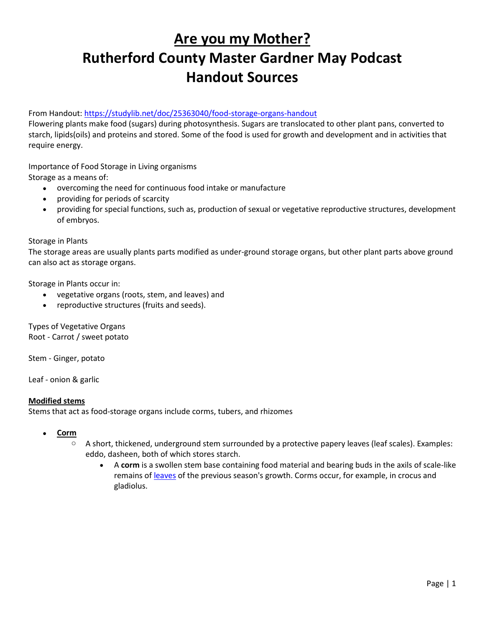# **Are you my Mother? Rutherford County Master Gardner May Podcast Handout Sources**

From Handout: https://studylib.net/doc/25363040/food-storage-organs-handout

Flowering plants make food (sugars) during photosynthesis. Sugars are translocated to other plant pans, converted to starch, lipids(oils) and proteins and stored. Some of the food is used for growth and development and in activities that require energy.

Importance of Food Storage in Living organisms Storage as a means of:

- overcoming the need for continuous food intake or manufacture
- providing for periods of scarcity
- providing for special functions, such as, production of sexual or vegetative reproductive structures, development of embryos.

Storage in Plants

The storage areas are usually plants parts modified as under-ground storage organs, but other plant parts above ground can also act as storage organs.

Storage in Plants occur in:

- vegetative organs (roots, stem, and leaves) and
- reproductive structures (fruits and seeds).

Types of Vegetative Organs Root - Carrot / sweet potato

Stem - Ginger, potato

Leaf - onion & garlic

# **Modified stems**

Stems that act as food-storage organs include corms, tubers, and rhizomes

- **Corm** 
	- o A short, thickened, underground stem surrounded by a protective papery leaves (leaf scales). Examples: eddo, dasheen, both of which stores starch.
		- A **corm** is a swollen stem base containing food material and bearing buds in the axils of scale-like remains of [leaves](https://www.daviddarling.info/encyclopedia/L/leaf.html) of the previous season's growth. Corms occur, for example, in crocus and gladiolus.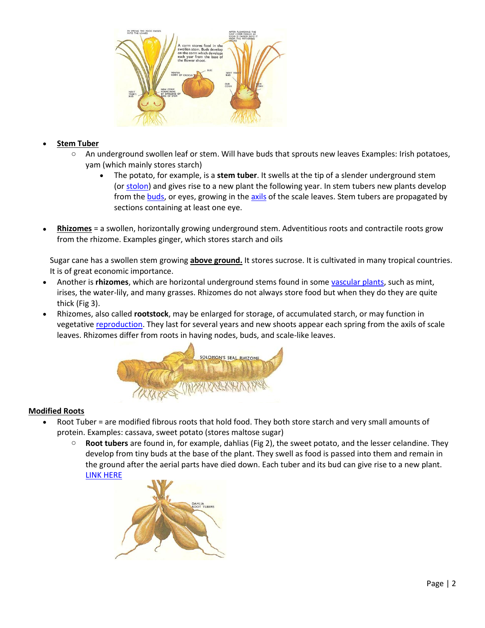

## • **Stem Tuber**

- An underground swollen leaf or stem. Will have buds that sprouts new leaves Examples: Irish potatoes, yam (which mainly stores starch)
	- The potato, for example, is a **stem tuber**. It swells at the tip of a slender underground stem (or [stolon\)](https://www.daviddarling.info/encyclopedia/S/stolon.html) and gives rise to a new plant the following year. In stem tubers new plants develop from the [buds,](https://www.daviddarling.info/encyclopedia/B/bud.html) or eyes, growing in the [axils](https://www.daviddarling.info/encyclopedia/A/axil.html) of the scale leaves. Stem tubers are propagated by sections containing at least one eye.
- **Rhizomes** = a swollen, horizontally growing underground stem. Adventitious roots and contractile roots grow from the rhizome. Examples ginger, which stores starch and oils

Sugar cane has a swollen stem growing **above ground.** It stores sucrose. It is cultivated in many tropical countries. It is of great economic importance.

- Another is **rhizomes**, which are horizontal underground stems found in some [vascular plants,](https://www.daviddarling.info/encyclopedia/V/vascular_plant.html) such as mint, irises, the water-lily, and many grasses. Rhizomes do not always store food but when they do they are quite thick (Fig 3).
- Rhizomes, also called **rootstock**, may be enlarged for storage, of accumulated starch, or may function in vegetative [reproduction.](https://www.daviddarling.info/encyclopedia/R/reproduction.html) They last for several years and new shoots appear each spring from the axils of scale leaves. Rhizomes differ from roots in having nodes, buds, and scale-like leaves.



# **Modified Roots**

- Root Tuber = are modified fibrous roots that hold food. They both store starch and very small amounts of protein. Examples: cassava, sweet potato (stores maltose sugar)
	- **Root tubers** are found in, for example, dahlias (Fig 2), the sweet potato, and the lesser celandine. They develop from tiny buds at the base of the plant. They swell as food is passed into them and remain in the ground after the aerial parts have died down. Each tuber and its bud can give rise to a new plant. [LINK HERE](https://www.daviddarling.info/encyclopedia/F/food_storage_in_plants.html)

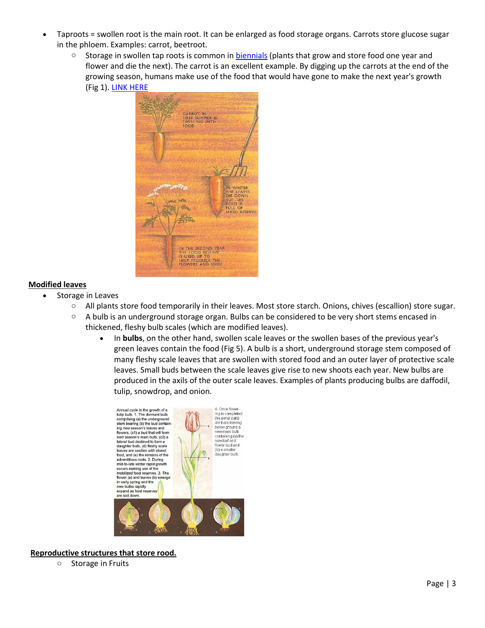- Taproots = swollen root is the main root. It can be enlarged as food storage organs. Carrots store glucose sugar in the phloem. Examples: carrot, beetroot.
	- <sup>o</sup> Storage in swollen tap roots is common in [biennials](https://www.daviddarling.info/encyclopedia/B/biennial.html) (plants that grow and store food one year and flower and die the next). The carrot is an excellent example. By digging up the carrots at the end of the growing season, humans make use of the food that would have gone to make the next year's growth (Fig 1)[. LINK HERE](https://www.daviddarling.info/encyclopedia/F/food_storage_in_plants.html)



## **Modified leaves**

- Storage in Leaves
	- $\circ$  All plants store food temporarily in their leaves. Most store starch. Onions, chives (escallion) store sugar.
	- $\circ$  A bulb is an underground storage organ. Bulbs can be considered to be very short stems encased in thickened, fleshy bulb scales (which are modified leaves).
		- In **bulbs**, on the other hand, swollen scale leaves or the swollen bases of the previous year's green leaves contain the food (Fig 5). A bulb is a short, underground storage stem composed of many fleshy scale leaves that are swollen with stored food and an outer layer of protective scale leaves. Small buds between the scale leaves give rise to new shoots each year. New bulbs are produced in the axils of the outer scale leaves. Examples of plants producing bulbs are daffodil, tulip, snowdrop, and onion.



#### **Reproductive structures that store rood.**

o Storage in Fruits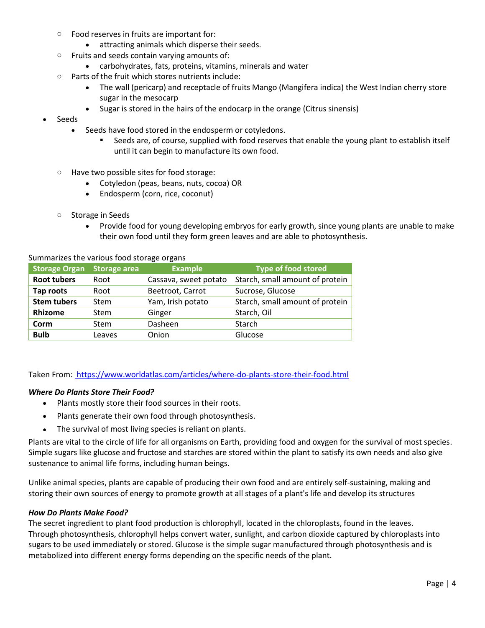- o Food reserves in fruits are important for:
	- attracting animals which disperse their seeds.
- o Fruits and seeds contain varying amounts of:
	- carbohydrates, fats, proteins, vitamins, minerals and water
- o Parts of the fruit which stores nutrients include:
	- The wall (pericarp) and receptacle of fruits Mango (Mangifera indica) the West Indian cherry store sugar in the mesocarp
	- Sugar is stored in the hairs of the endocarp in the orange (Citrus sinensis)
- Seeds
	- Seeds have food stored in the endosperm or cotyledons.
		- Seeds are, of course, supplied with food reserves that enable the young plant to establish itself until it can begin to manufacture its own food.
	- o Have two possible sites for food storage:
		- Cotyledon (peas, beans, nuts, cocoa) OR
		- Endosperm (corn, rice, coconut)
	- o Storage in Seeds
		- Provide food for young developing embryos for early growth, since young plants are unable to make their own food until they form green leaves and are able to photosynthesis.

| <b>Storage Organ</b> | <b>Storage area</b> | <b>Example</b>        | <b>Type of food stored</b>      |
|----------------------|---------------------|-----------------------|---------------------------------|
| <b>Root tubers</b>   | Root                | Cassava, sweet potato | Starch, small amount of protein |
| Tap roots            | Root                | Beetroot, Carrot      | Sucrose, Glucose                |
| <b>Stem tubers</b>   | Stem                | Yam, Irish potato     | Starch, small amount of protein |
| <b>Rhizome</b>       | <b>Stem</b>         | Ginger                | Starch, Oil                     |
| Corm                 | <b>Stem</b>         | Dasheen               | Starch                          |
| <b>Bulb</b>          | Leaves              | Onion                 | Glucose                         |

Summarizes the various food storage organs

Taken From: https://www.worldatlas.com/articles/where-do-plants-store-their-food.html

#### *Where Do Plants Store Their Food?*

- Plants mostly store their food sources in their roots.
- Plants generate their own food through photosynthesis.
- The survival of most living species is reliant on plants.

Plants are vital to the circle of life for all organisms on Earth, providing food and oxygen for the survival of most species. Simple sugars like glucose and fructose and starches are stored within the plant to satisfy its own needs and also give sustenance to animal life forms, including human beings.

Unlike animal species, plants are capable of producing their own food and are entirely self-sustaining, making and storing their own sources of energy to promote growth at all stages of a plant's life and develop its structures

#### *How Do Plants Make Food?*

The secret ingredient to plant food production is chlorophyll, located in the chloroplasts, found in the leaves. Through photosynthesis, chlorophyll helps convert water, sunlight, and carbon dioxide captured by chloroplasts into sugars to be used immediately or stored. Glucose is the simple sugar manufactured through photosynthesis and is metabolized into different energy forms depending on the specific needs of the plant.